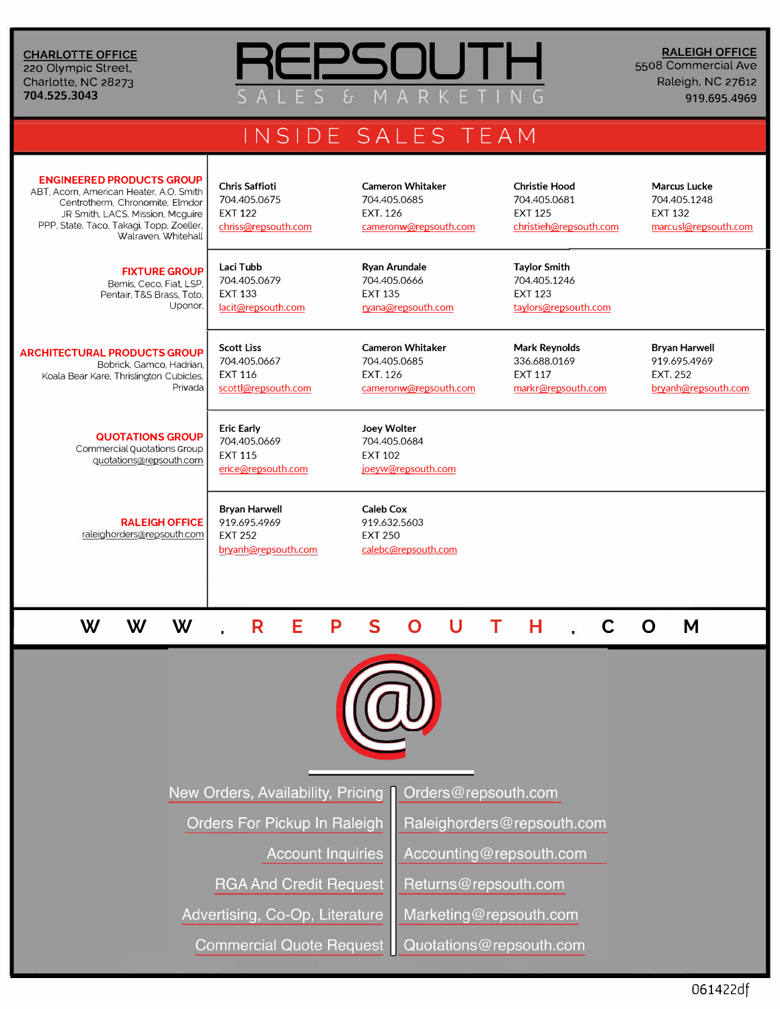CHARLOTTE OFFICE<br>220 Olympic Street,<br>Charlotte, NC 28273

704.525.3043

**RALEIGH OFFICE** 5508 Commercial Ave Raleigh, NC 27612 919.695.4969

# INSIDE SALES TEAM

 $\delta$ 

Ŀ.

S  $\mathsf{A}$  MARKET

G

| <b>ENGINEERED PRODUCTS GROUP</b><br>ABT, Acorn, American Heater, A.O. Smith<br>Centrotherm, Chronomite, Elmdor<br>JR Smith, LACS, Mission, Mcguire<br>PPP, State, Taco, Takagi, Topp, Zoeller,<br>Walraven, Whitehall | <b>Chris Saffioti</b><br>704.405.0675<br><b>EXT 122</b><br>chriss@repsouth.com | <b>Cameron Whitaker</b><br>704.405.0685<br>EXT. 126<br>cameronw@repsouth.com | <b>Christie Hood</b><br>704.405.0681<br><b>EXT 125</b><br>christieh@repsouth.com | <b>Marcus Lucke</b><br>704.405.1248<br><b>EXT 132</b><br>marcusl@repsouth.com  |  |
|-----------------------------------------------------------------------------------------------------------------------------------------------------------------------------------------------------------------------|--------------------------------------------------------------------------------|------------------------------------------------------------------------------|----------------------------------------------------------------------------------|--------------------------------------------------------------------------------|--|
| <b>FIXTURE GROUP</b><br>Bemis, Ceco, Fiat, LSP,<br>Pentair, T&S Brass, Toto,<br>Uponor,                                                                                                                               | Laci Tubb<br>704.405.0679<br><b>EXT 133</b><br>lacit@repsouth.com              | <b>Ryan Arundale</b><br>704.405.0666<br><b>EXT 135</b><br>ryana@repsouth.com | <b>Taylor Smith</b><br>704.405.1246<br><b>EXT 123</b><br>taylors@repsouth.com    |                                                                                |  |
| <b>ARCHITECTURAL PRODUCTS GROUP</b><br>Bobrick, Gamco, Hadrian,<br>Koala Bear Kare, Thrislington Cubicles,<br>Privada                                                                                                 | <b>Scott Liss</b><br>704.405.0667<br><b>EXT 116</b><br>scottl@repsouth.com     | <b>Cameron Whitaker</b><br>704.405.0685<br>EXT. 126<br>cameronw@repsouth.com | <b>Mark Reynolds</b><br>336.688.0169<br><b>EXT 117</b><br>markr@repsouth.com     | <b>Bryan Harwell</b><br>919.695.4969<br><b>EXT. 252</b><br>bryanh@repsouth.com |  |
| <b>QUOTATIONS GROUP</b><br>Commercial Quotations Group<br>quotations@repsouth.com                                                                                                                                     | <b>Eric Early</b><br>704.405.0669<br><b>EXT 115</b><br>erice@repsouth.com      | Joey Wolter<br>704.405.0684<br><b>EXT 102</b><br>joeyw@repsouth.com          |                                                                                  |                                                                                |  |
| <b>RALEIGH OFFICE</b><br>raleighorders@repsouth.com                                                                                                                                                                   | <b>Bryan Harwell</b><br>919.695.4969<br><b>EXT 252</b><br>bryanh@repsouth.com  | <b>Caleb Cox</b><br>919.632.5603<br><b>EXT 250</b><br>calebc@repsouth.com    |                                                                                  |                                                                                |  |
| W<br>W<br>W                                                                                                                                                                                                           | R<br>Е<br>P                                                                    | S<br>O                                                                       | н                                                                                | M<br>O                                                                         |  |
|                                                                                                                                                                                                                       |                                                                                |                                                                              |                                                                                  |                                                                                |  |
| New Orders, Availability, Pricing<br>Orders@repsouth.com                                                                                                                                                              |                                                                                |                                                                              |                                                                                  |                                                                                |  |
| Orders For Pickup In Raleigh                                                                                                                                                                                          |                                                                                |                                                                              | Raleighorders@repsouth.com                                                       |                                                                                |  |
| <b>Account Inquiries</b><br><b>RGA And Credit Request</b>                                                                                                                                                             |                                                                                |                                                                              | Accounting@repsouth.com                                                          |                                                                                |  |
|                                                                                                                                                                                                                       |                                                                                | Returns@repsouth.com                                                         |                                                                                  |                                                                                |  |
|                                                                                                                                                                                                                       | Advertising, Co-Op, Literature                                                 |                                                                              | Marketing@repsouth.com                                                           |                                                                                |  |
| <b>Commercial Quote Request</b><br>Quotations@repsouth.com                                                                                                                                                            |                                                                                |                                                                              |                                                                                  |                                                                                |  |